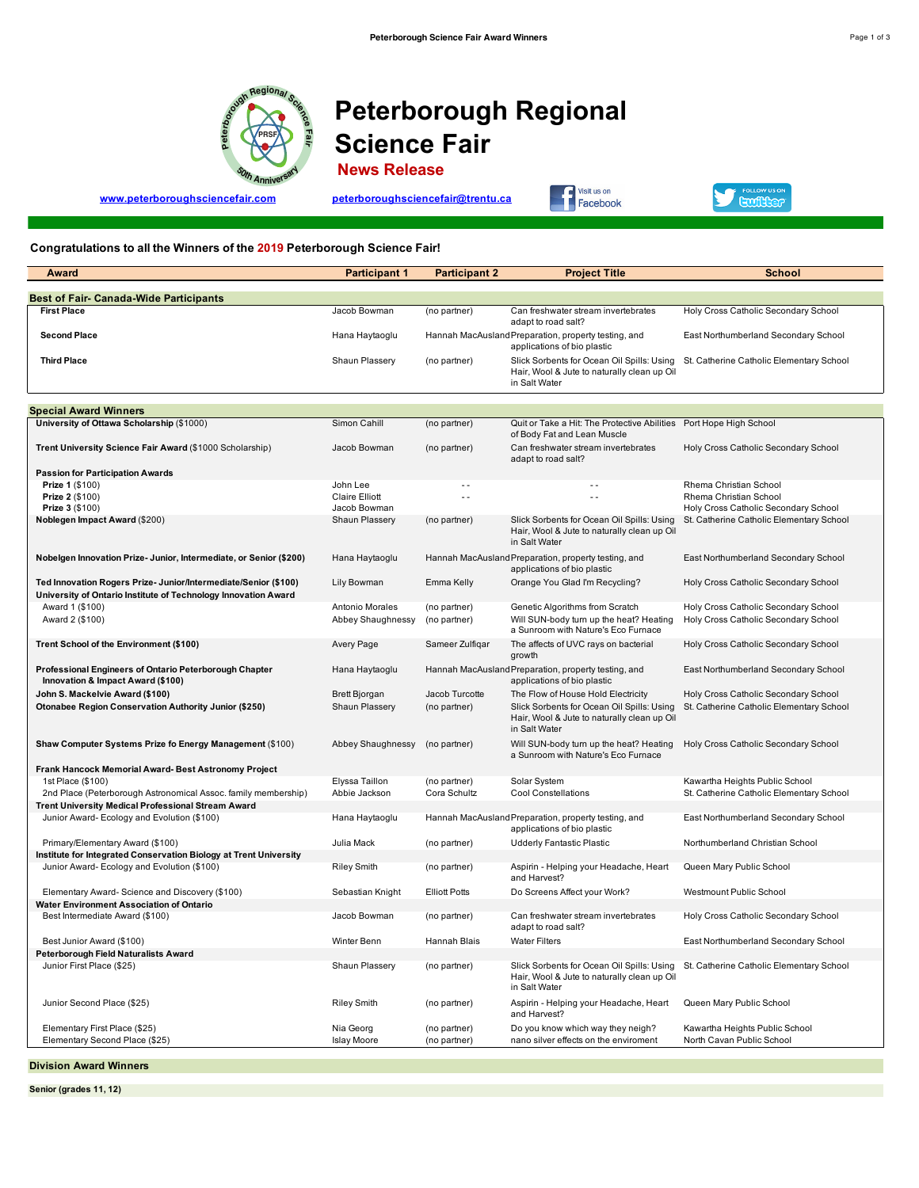

## **Peterborough Regional Science Fair**

 **News Release**

**www.peterboroughsciencefair.com peterboroughsciencefair@trentu.ca**





## **Congratulations to all the Winners of the 2019 Peterborough Science Fair!**

| Award                                                                                                                             | <b>Participant 1</b>                   | <b>Participant 2</b>           | <b>Project Title</b>                                                                                                                             | <b>School</b>                                                                       |
|-----------------------------------------------------------------------------------------------------------------------------------|----------------------------------------|--------------------------------|--------------------------------------------------------------------------------------------------------------------------------------------------|-------------------------------------------------------------------------------------|
| Best of Fair- Canada-Wide Participants                                                                                            |                                        |                                |                                                                                                                                                  |                                                                                     |
| <b>First Place</b>                                                                                                                | Jacob Bowman                           | (no partner)                   | Can freshwater stream invertebrates                                                                                                              | Holy Cross Catholic Secondary School                                                |
|                                                                                                                                   |                                        |                                | adapt to road salt?                                                                                                                              |                                                                                     |
| <b>Second Place</b>                                                                                                               | Hana Haytaoglu                         |                                | Hannah MacAusland Preparation, property testing, and<br>applications of bio plastic                                                              | East Northumberland Secondary School                                                |
| <b>Third Place</b>                                                                                                                | Shaun Plassery                         | (no partner)                   | Slick Sorbents for Ocean Oil Spills: Using<br>Hair, Wool & Jute to naturally clean up Oil<br>in Salt Water                                       | St. Catherine Catholic Elementary School                                            |
|                                                                                                                                   |                                        |                                |                                                                                                                                                  |                                                                                     |
| <b>Special Award Winners</b>                                                                                                      |                                        |                                |                                                                                                                                                  |                                                                                     |
| University of Ottawa Scholarship (\$1000)                                                                                         | Simon Cahill                           | (no partner)                   | Quit or Take a Hit: The Protective Abilities Port Hope High School<br>of Body Fat and Lean Muscle                                                |                                                                                     |
| Trent University Science Fair Award (\$1000 Scholarship)                                                                          | Jacob Bowman                           | (no partner)                   | Can freshwater stream invertebrates<br>adapt to road salt?                                                                                       | Holy Cross Catholic Secondary School                                                |
| <b>Passion for Participation Awards</b>                                                                                           |                                        |                                |                                                                                                                                                  |                                                                                     |
| Prize 1 (\$100)                                                                                                                   | John Lee                               | $\sim$ $\sim$                  |                                                                                                                                                  | Rhema Christian School                                                              |
| Prize 2 (\$100)                                                                                                                   | <b>Claire Elliott</b>                  | $\sim$ $\sim$                  | $\sim$ $\sim$                                                                                                                                    | Rhema Christian School                                                              |
| Prize 3 (\$100)<br>Noblegen Impact Award (\$200)                                                                                  | Jacob Bowman<br>Shaun Plassery         | (no partner)                   | Slick Sorbents for Ocean Oil Spills: Using                                                                                                       | Holy Cross Catholic Secondary School<br>St. Catherine Catholic Elementary School    |
|                                                                                                                                   |                                        |                                | Hair, Wool & Jute to naturally clean up Oil<br>in Salt Water                                                                                     |                                                                                     |
| Nobelgen Innovation Prize- Junior, Intermediate, or Senior (\$200)                                                                | Hana Haytaoglu                         |                                | Hannah MacAusland Preparation, property testing, and<br>applications of bio plastic                                                              | East Northumberland Secondary School                                                |
| Ted Innovation Rogers Prize- Junior/Intermediate/Senior (\$100)<br>University of Ontario Institute of Technology Innovation Award | Lily Bowman                            | Emma Kelly                     | Orange You Glad I'm Recycling?                                                                                                                   | Holy Cross Catholic Secondary School                                                |
| Award 1 (\$100)                                                                                                                   | Antonio Morales                        | (no partner)                   | Genetic Algorithms from Scratch                                                                                                                  | Holy Cross Catholic Secondary School                                                |
| Award 2 (\$100)                                                                                                                   | Abbey Shaughnessy                      | (no partner)                   | Will SUN-body turn up the heat? Heating<br>a Sunroom with Nature's Eco Furnace                                                                   | Holy Cross Catholic Secondary School                                                |
| Trent School of the Environment (\$100)                                                                                           | Avery Page                             | Sameer Zulfiqar                | The affects of UVC rays on bacterial<br>growth                                                                                                   | Holy Cross Catholic Secondary School                                                |
| Professional Engineers of Ontario Peterborough Chapter<br>Innovation & Impact Award (\$100)                                       | Hana Haytaoglu                         |                                | Hannah MacAusland Preparation, property testing, and<br>applications of bio plastic                                                              | East Northumberland Secondary School                                                |
| John S. Mackelvie Award (\$100)<br><b>Otonabee Region Conservation Authority Junior (\$250)</b>                                   | <b>Brett Bjorgan</b><br>Shaun Plassery | Jacob Turcotte<br>(no partner) | The Flow of House Hold Electricity<br>Slick Sorbents for Ocean Oil Spills: Using<br>Hair, Wool & Jute to naturally clean up Oil<br>in Salt Water | Holy Cross Catholic Secondary School<br>St. Catherine Catholic Elementary School    |
| Shaw Computer Systems Prize fo Energy Management (\$100)                                                                          | Abbey Shaughnessy                      | (no partner)                   | Will SUN-body turn up the heat? Heating<br>a Sunroom with Nature's Eco Furnace                                                                   | Holy Cross Catholic Secondary School                                                |
| Frank Hancock Memorial Award-Best Astronomy Project                                                                               |                                        |                                |                                                                                                                                                  |                                                                                     |
| 1st Place (\$100)                                                                                                                 | Elyssa Taillon                         | (no partner)                   | Solar System                                                                                                                                     | Kawartha Heights Public School                                                      |
| 2nd Place (Peterborough Astronomical Assoc. family membership)                                                                    | Abbie Jackson                          | Cora Schultz                   | Cool Constellations                                                                                                                              | St. Catherine Catholic Elementary School                                            |
| Trent University Medical Professional Stream Award                                                                                |                                        |                                |                                                                                                                                                  |                                                                                     |
| Junior Award- Ecology and Evolution (\$100)                                                                                       | Hana Haytaoglu                         |                                | Hannah MacAusland Preparation, property testing, and<br>applications of bio plastic                                                              | East Northumberland Secondary School                                                |
| Primary/Elementary Award (\$100)                                                                                                  | Julia Mack                             | (no partner)                   | Udderly Fantastic Plastic                                                                                                                        | Northumberland Christian School                                                     |
| Institute for Integrated Conservation Biology at Trent University<br>Junior Award- Ecology and Evolution (\$100)                  | <b>Riley Smith</b>                     | (no partner)                   | Aspirin - Helping your Headache, Heart                                                                                                           | Queen Mary Public School                                                            |
|                                                                                                                                   |                                        |                                | and Harvest?                                                                                                                                     |                                                                                     |
| Elementary Award- Science and Discovery (\$100)                                                                                   | Sebastian Knight                       | <b>Elliott Potts</b>           | Do Screens Affect your Work?                                                                                                                     | Westmount Public School                                                             |
| Water Environment Association of Ontario<br>Best Intermediate Award (\$100)                                                       | Jacob Bowman                           | (no partner)                   | Can freshwater stream invertebrates                                                                                                              | Holy Cross Catholic Secondary School                                                |
|                                                                                                                                   |                                        |                                | adapt to road salt?                                                                                                                              |                                                                                     |
| Best Junior Award (\$100)<br>Peterborough Field Naturalists Award                                                                 | Winter Benn                            | Hannah Blais                   | <b>Water Filters</b>                                                                                                                             | East Northumberland Secondary School                                                |
| Junior First Place (\$25)                                                                                                         | Shaun Plassery                         | (no partner)                   | Hair, Wool & Jute to naturally clean up Oil<br>in Salt Water                                                                                     | Slick Sorbents for Ocean Oil Spills: Using St. Catherine Catholic Elementary School |
| Junior Second Place (\$25)                                                                                                        | <b>Riley Smith</b>                     | (no partner)                   | Aspirin - Helping your Headache, Heart<br>and Harvest?                                                                                           | Queen Mary Public School                                                            |
| Elementary First Place (\$25)<br>Elementary Second Place (\$25)                                                                   | Nia Georg<br><b>Islay Moore</b>        | (no partner)<br>(no partner)   | Do you know which way they neigh?<br>nano silver effects on the enviroment                                                                       | Kawartha Heights Public School<br>North Cavan Public School                         |
|                                                                                                                                   |                                        |                                |                                                                                                                                                  |                                                                                     |

**Division Award Winners**

**Senior (grades 11, 12)**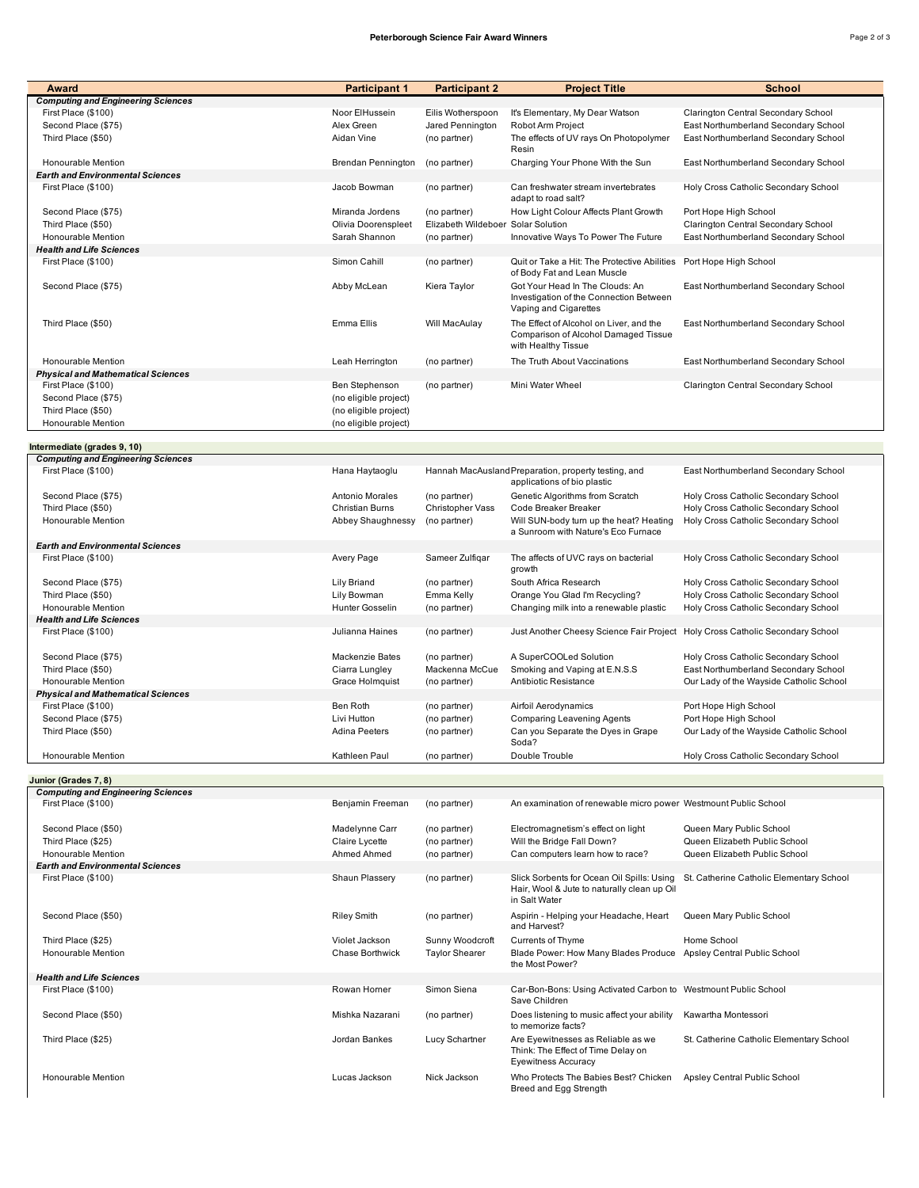| ∹age 2 . | : ۱۴۰<br>в |
|----------|------------|

| Award                                     | <b>Participant 1</b>      | <b>Participant 2</b>               | <b>Project Title</b>                                                                | <b>School</b>                            |
|-------------------------------------------|---------------------------|------------------------------------|-------------------------------------------------------------------------------------|------------------------------------------|
| <b>Computing and Engineering Sciences</b> |                           |                                    |                                                                                     |                                          |
| First Place (\$100)                       | Noor ElHussein            | Eilis Wotherspoon                  | It's Elementary, My Dear Watson                                                     | Clarington Central Secondary School      |
| Second Place (\$75)                       | Alex Green                | Jared Pennington                   | Robot Arm Project                                                                   | East Northumberland Secondary School     |
| Third Place (\$50)                        | Aidan Vine                | (no partner)                       | The effects of UV rays On Photopolymer                                              | East Northumberland Secondary School     |
|                                           |                           |                                    | Resin                                                                               |                                          |
| Honourable Mention                        | <b>Brendan Pennington</b> | (no partner)                       | Charging Your Phone With the Sun                                                    | East Northumberland Secondary School     |
| <b>Earth and Environmental Sciences</b>   |                           |                                    |                                                                                     |                                          |
| First Place (\$100)                       | Jacob Bowman              | (no partner)                       | Can freshwater stream invertebrates                                                 | Holy Cross Catholic Secondary School     |
|                                           |                           |                                    | adapt to road salt?                                                                 |                                          |
| Second Place (\$75)                       | Miranda Jordens           | (no partner)                       | How Light Colour Affects Plant Growth                                               | Port Hope High School                    |
|                                           | Olivia Doorenspleet       | Elizabeth Wildeboer Solar Solution |                                                                                     |                                          |
| Third Place (\$50)                        |                           |                                    |                                                                                     | Clarington Central Secondary School      |
| Honourable Mention                        | Sarah Shannon             | (no partner)                       | Innovative Ways To Power The Future                                                 | East Northumberland Secondary School     |
| <b>Health and Life Sciences</b>           |                           |                                    |                                                                                     |                                          |
| First Place (\$100)                       | Simon Cahill              | (no partner)                       | Quit or Take a Hit: The Protective Abilities Port Hope High School                  |                                          |
|                                           |                           |                                    | of Body Fat and Lean Muscle                                                         |                                          |
| Second Place (\$75)                       | Abby McLean               | Kiera Taylor                       | Got Your Head In The Clouds: An                                                     | East Northumberland Secondary School     |
|                                           |                           |                                    | Investigation of the Connection Between                                             |                                          |
|                                           |                           |                                    | Vaping and Cigarettes                                                               |                                          |
| Third Place (\$50)                        | Emma Ellis                | Will MacAulay                      | The Effect of Alcohol on Liver, and the                                             | East Northumberland Secondary School     |
|                                           |                           |                                    | Comparison of Alcohol Damaged Tissue                                                |                                          |
|                                           |                           |                                    | with Healthy Tissue                                                                 |                                          |
|                                           |                           |                                    |                                                                                     |                                          |
| Honourable Mention                        | Leah Herrington           | (no partner)                       | The Truth About Vaccinations                                                        | East Northumberland Secondary School     |
| <b>Physical and Mathematical Sciences</b> |                           |                                    |                                                                                     |                                          |
| First Place (\$100)                       | Ben Stephenson            | (no partner)                       | Mini Water Wheel                                                                    | Clarington Central Secondary School      |
| Second Place (\$75)                       | (no eligible project)     |                                    |                                                                                     |                                          |
| Third Place (\$50)                        | (no eligible project)     |                                    |                                                                                     |                                          |
| Honourable Mention                        | (no eligible project)     |                                    |                                                                                     |                                          |
|                                           |                           |                                    |                                                                                     |                                          |
| Intermediate (grades 9, 10)               |                           |                                    |                                                                                     |                                          |
| <b>Computing and Engineering Sciences</b> |                           |                                    |                                                                                     |                                          |
| First Place (\$100)                       | Hana Haytaoglu            |                                    | Hannah MacAusland Preparation, property testing, and                                | East Northumberland Secondary School     |
|                                           |                           |                                    | applications of bio plastic                                                         |                                          |
| Second Place (\$75)                       | Antonio Morales           | (no partner)                       | Genetic Algorithms from Scratch                                                     | Holy Cross Catholic Secondary School     |
| Third Place (\$50)                        | Christian Burns           | Christopher Vass                   | Code Breaker Breaker                                                                | Holy Cross Catholic Secondary School     |
|                                           |                           |                                    |                                                                                     |                                          |
| Honourable Mention                        | Abbey Shaughnessy         | (no partner)                       | Will SUN-body turn up the heat? Heating<br>a Sunroom with Nature's Eco Furnace      | Holy Cross Catholic Secondary School     |
|                                           |                           |                                    |                                                                                     |                                          |
| <b>Earth and Environmental Sciences</b>   |                           |                                    |                                                                                     |                                          |
| First Place (\$100)                       | Avery Page                | Sameer Zulfiqar                    | The affects of UVC rays on bacterial                                                | Holy Cross Catholic Secondary School     |
|                                           |                           |                                    | growth                                                                              |                                          |
| Second Place (\$75)                       | Lily Briand               | (no partner)                       | South Africa Research                                                               | Holy Cross Catholic Secondary School     |
| Third Place (\$50)                        | Lily Bowman               | Emma Kelly                         | Orange You Glad I'm Recycling?                                                      | Holy Cross Catholic Secondary School     |
| Honourable Mention                        | Hunter Gosselin           | (no partner)                       | Changing milk into a renewable plastic                                              | Holy Cross Catholic Secondary School     |
| <b>Health and Life Sciences</b>           |                           |                                    |                                                                                     |                                          |
| First Place (\$100)                       | Julianna Haines           | (no partner)                       | Just Another Cheesy Science Fair Project Holy Cross Catholic Secondary School       |                                          |
|                                           |                           |                                    |                                                                                     |                                          |
| Second Place (\$75)                       | Mackenzie Bates           | (no partner)                       | A SuperCOOLed Solution                                                              | Holy Cross Catholic Secondary School     |
| Third Place (\$50)                        | Ciarra Lungley            | Mackenna McCue                     | Smoking and Vaping at E.N.S.S                                                       | East Northumberland Secondary School     |
| Honourable Mention                        | Grace Holmquist           | (no partner)                       | Antibiotic Resistance                                                               | Our Lady of the Wayside Catholic School  |
|                                           |                           |                                    |                                                                                     |                                          |
| <b>Physical and Mathematical Sciences</b> | Ben Roth                  |                                    |                                                                                     |                                          |
| First Place (\$100)                       |                           | (no partner)                       | Airfoil Aerodynamics                                                                | Port Hope High School                    |
| Second Place (\$75)                       | Livi Hutton               | (no partner)                       | <b>Comparing Leavening Agents</b>                                                   | Port Hope High School                    |
| Third Place (\$50)                        | <b>Adina Peeters</b>      | (no partner)                       | Can you Separate the Dyes in Grape                                                  | Our Lady of the Wayside Catholic School  |
|                                           |                           |                                    | Soda?                                                                               |                                          |
| Honourable Mention                        | Kathleen Paul             | (no partner)                       | Double Trouble                                                                      | Holy Cross Catholic Secondary School     |
|                                           |                           |                                    |                                                                                     |                                          |
| Junior (Grades 7, 8)                      |                           |                                    |                                                                                     |                                          |
| <b>Computing and Engineering Sciences</b> |                           |                                    |                                                                                     |                                          |
| First Place (\$100)                       | Benjamin Freeman          | (no partner)                       | An examination of renewable micro power Westmount Public School                     |                                          |
|                                           |                           |                                    |                                                                                     |                                          |
| Second Place (\$50)                       | Madelynne Carr            | (no partner)                       | Electromagnetism's effect on light                                                  | Queen Mary Public School                 |
| Third Place (\$25)                        | Claire Lycette            | (no partner)                       | Will the Bridge Fall Down?                                                          | Queen Elizabeth Public School            |
| Honourable Mention                        | Ahmed Ahmed               | (no partner)                       | Can computers learn how to race?                                                    | Queen Elizabeth Public School            |
| <b>Earth and Environmental Sciences</b>   |                           |                                    |                                                                                     |                                          |
| First Place (\$100)                       | Shaun Plassery            | (no partner)                       | Slick Sorbents for Ocean Oil Spills: Using St. Catherine Catholic Elementary School |                                          |
|                                           |                           |                                    | Hair, Wool & Jute to naturally clean up Oil                                         |                                          |
|                                           |                           |                                    | in Salt Water                                                                       |                                          |
|                                           |                           |                                    |                                                                                     |                                          |
| Second Place (\$50)                       | <b>Riley Smith</b>        | (no partner)                       | Aspirin - Helping your Headache, Heart                                              | Queen Mary Public School                 |
|                                           |                           |                                    | and Harvest?                                                                        |                                          |
| Third Place (\$25)                        | Violet Jackson            | Sunny Woodcroft                    | Currents of Thyme                                                                   | Home School                              |
| Honourable Mention                        | Chase Borthwick           | <b>Taylor Shearer</b>              | Blade Power: How Many Blades Produce Apsley Central Public School                   |                                          |
|                                           |                           |                                    | the Most Power?                                                                     |                                          |
| <b>Health and Life Sciences</b>           |                           |                                    |                                                                                     |                                          |
| First Place (\$100)                       | Rowan Horner              | Simon Siena                        | Car-Bon-Bons: Using Activated Carbon to Westmount Public School                     |                                          |
|                                           |                           |                                    | Save Children                                                                       |                                          |
| Second Place (\$50)                       | Mishka Nazarani           | (no partner)                       | Does listening to music affect your ability                                         | Kawartha Montessori                      |
|                                           |                           |                                    | to memorize facts?                                                                  |                                          |
|                                           |                           |                                    |                                                                                     |                                          |
| Third Place (\$25)                        | Jordan Bankes             | Lucy Schartner                     | Are Eyewitnesses as Reliable as we                                                  | St. Catherine Catholic Elementary School |
|                                           |                           |                                    | Think: The Effect of Time Delay on                                                  |                                          |
|                                           |                           |                                    | <b>Eyewitness Accuracy</b>                                                          |                                          |
| Honourable Mention                        | Lucas Jackson             | Nick Jackson                       | Who Protects The Babies Best? Chicken                                               | Apsley Central Public School             |
|                                           |                           |                                    | Breed and Egg Strength                                                              |                                          |
|                                           |                           |                                    |                                                                                     |                                          |